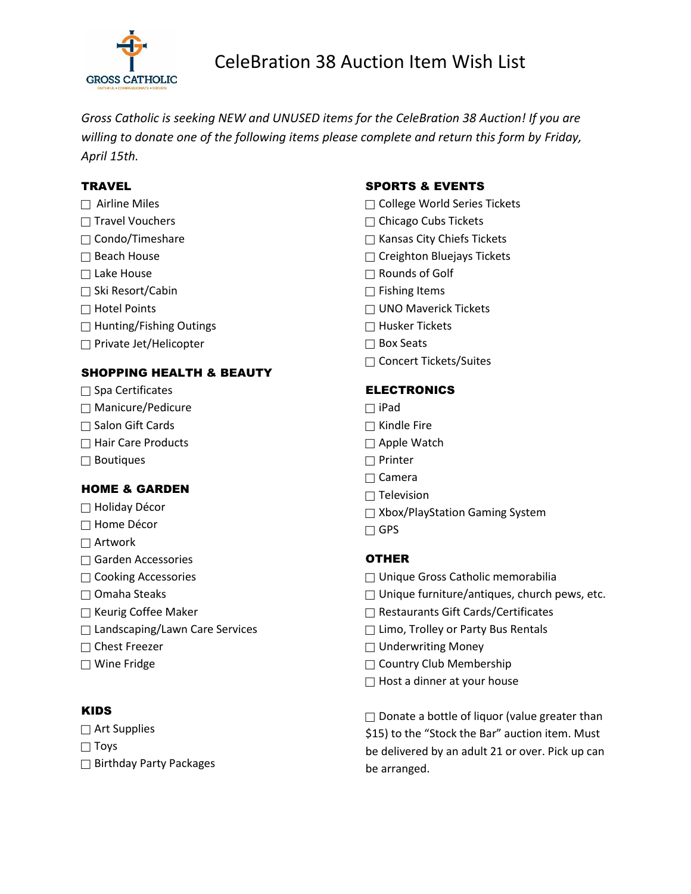

*Gross Catholic is seeking NEW and UNUSED items for the CeleBration 38 Auction! If you are willing to donate one of the following items please complete and return this form by Friday, April 15th.*

## **TRAVEL**

- $\Box$  Airline Miles
- $\Box$  Travel Vouchers
- $\Box$  Condo/Timeshare
- $\Box$  Beach House
- $\Box$  Lake House
- □ Ski Resort/Cabin
- $\Box$  Hotel Points
- $\Box$  Hunting/Fishing Outings
- $\Box$  Private Jet/Helicopter

# SHOPPING HEALTH & BEAUTY

- $\Box$  Spa Certificates
- $\Box$  Manicure/Pedicure
- $\Box$  Salon Gift Cards
- $\Box$  Hair Care Products
- $\Box$  Boutiques

# HOME & GARDEN

- Holiday Décor
- $\Box$  Home Décor
- $\Box$  Artwork
- Garden Accessories
- □ Cooking Accessories
- $\Box$  Omaha Steaks
- $\Box$  Keurig Coffee Maker
- □ Landscaping/Lawn Care Services
- $\Box$  Chest Freezer
- Wine Fridge

#### KIDS

- $\Box$  Art Supplies
- $\Box$  Toys
- $\Box$  Birthday Party Packages

## SPORTS & EVENTS

- □ College World Series Tickets
- $\Box$  Chicago Cubs Tickets
- $\Box$  Kansas City Chiefs Tickets
- □ Creighton Bluejays Tickets
- Rounds of Golf
- $\Box$  Fishing Items
- $\Box$  UNO Maverick Tickets
- $\Box$  Husker Tickets
- $\Box$  Box Seats
- □ Concert Tickets/Suites

## ELECTRONICS

- $\Box$  iPad
- $\Box$  Kindle Fire
- $\Box$  Apple Watch
- □ Printer
- $\Box$  Camera
- $\Box$  Television
- □ Xbox/PlayStation Gaming System
- $\Box$  GPS

#### **OTHER**

- □ Unique Gross Catholic memorabilia
- $\Box$  Unique furniture/antiques, church pews, etc.
- Restaurants Gift Cards/Certificates
- $\Box$  Limo, Trolley or Party Bus Rentals
- $\Box$  Underwriting Money
- Country Club Membership
- $\Box$  Host a dinner at your house

 $\Box$  Donate a bottle of liquor (value greater than \$15) to the "Stock the Bar" auction item. Must be delivered by an adult 21 or over. Pick up can be arranged.